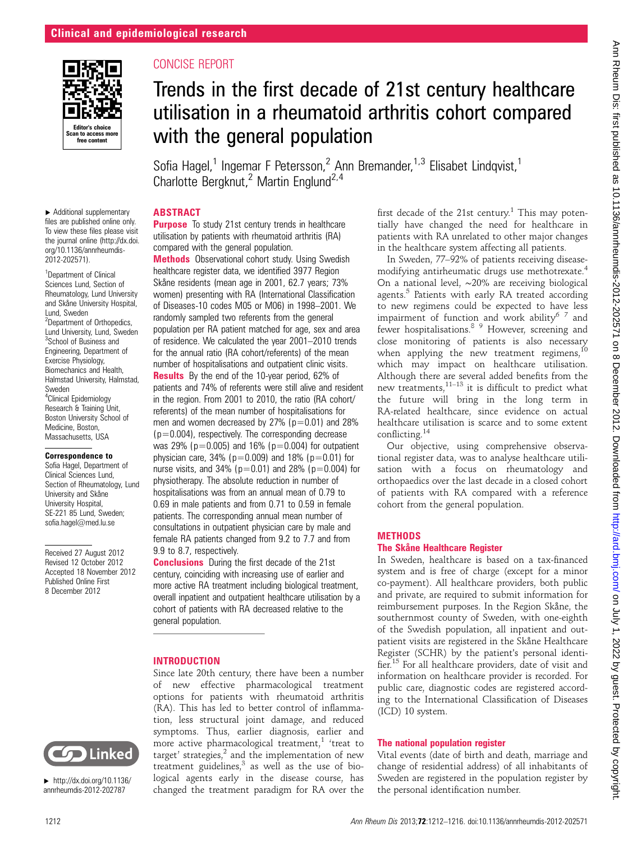

▸ Additional supplementary files are published online only. To view these files please visit the journal online [\(http://dx.doi.](http://dx.doi.org/10.1136/annrheumdis-2012-202571) [org/10.1136/annrheumdis-](http://dx.doi.org/10.1136/annrheumdis-2012-202571)[2012-202571](http://dx.doi.org/10.1136/annrheumdis-2012-202571)). <sup>1</sup>Department of Clinical Sciences Lund, Section of Rheumatology, Lund University and Skåne University Hospital,

<sup>2</sup>Department of Orthopedics, Lund University, Lund, Sweden <sup>3</sup>School of Business and Engineering, Department of Exercise Physiology, Biomechanics and Health, Halmstad University, Halmstad,

Lund, Sweden

Sweden

<sup>4</sup>Clinical Epidemiology Research & Training Unit, Boston University School of Medicine, Boston, Massachusetts, USA Correspondence to Sofia Hagel, Department of Clinical Sciences Lund, Section of Rheumatology, Lund University and Skåne University Hospital, SE-221 85 Lund, Sweden; sofia.hagel@med.lu.se

Received 27 August 2012 Revised 12 October 2012 Accepted 18 November 2012 Published Online First 8 December 2012

# CONCISE REPORT

# Trends in the first decade of 21st century healthcare utilisation in a rheumatoid arthritis cohort compared with the general population

Sofia Hagel,<sup>1</sup> Ingemar F Petersson,<sup>2</sup> Ann Bremander,<sup>1,3</sup> Elisabet Lindqvist,<sup>1</sup> Charlotte Bergknut,<sup>2</sup> Martin Englund<sup>2,4</sup>

## ABSTRACT

**Purpose** To study 21st century trends in healthcare utilisation by patients with rheumatoid arthritis (RA) compared with the general population.

**Methods** Observational cohort study. Using Swedish healthcare register data, we identified 3977 Region Skåne residents (mean age in 2001, 62.7 years; 73% women) presenting with RA (International Classification of Diseases-10 codes M05 or M06) in 1998–2001. We randomly sampled two referents from the general population per RA patient matched for age, sex and area of residence. We calculated the year 2001–2010 trends for the annual ratio (RA cohort/referents) of the mean number of hospitalisations and outpatient clinic visits. Results By the end of the 10-year period, 62% of patients and 74% of referents were still alive and resident in the region. From 2001 to 2010, the ratio (RA cohort/ referents) of the mean number of hospitalisations for men and women decreased by  $27\%$  ( $p=0.01$ ) and  $28\%$  $(p=0.004)$ , respectively. The corresponding decrease

was 29% ( $p=0.005$ ) and 16% ( $p=0.004$ ) for outpatient physician care,  $34\%$  ( $p=0.009$ ) and  $18\%$  ( $p=0.01$ ) for nurse visits, and 34% ( $p=0.01$ ) and 28% ( $p=0.004$ ) for physiotherapy. The absolute reduction in number of hospitalisations was from an annual mean of 0.79 to 0.69 in male patients and from 0.71 to 0.59 in female patients. The corresponding annual mean number of consultations in outpatient physician care by male and female RA patients changed from 9.2 to 7.7 and from 9.9 to 8.7, respectively.

**Conclusions** During the first decade of the 21st century, coinciding with increasing use of earlier and more active RA treatment including biological treatment, overall inpatient and outpatient healthcare utilisation by a cohort of patients with RA decreased relative to the general population.

## INTRODUCTION

Since late 20th century, there have been a number of new effective pharmacological treatment options for patients with rheumatoid arthritis (RA). This has led to better control of inflammation, less structural joint damage, and reduced symptoms. Thus, earlier diagnosis, earlier and more active pharmacological treatment,<sup>1</sup> 'treat to target' strategies, $^2$  and the implementation of new treatment guidelines, $3$  as well as the use of biological agents early in the disease course, has changed the treatment paradigm for RA over the first decade of the 21st century.<sup>1</sup> This may potentially have changed the need for healthcare in patients with RA unrelated to other major changes in the healthcare system affecting all patients.

In Sweden, 77–92% of patients receiving diseasemodifying antirheumatic drugs use methotrexate.<sup>4</sup> On a national level, ∼20% are receiving biological agents. $5$  Patients with early RA treated according to new regimens could be expected to have less impairment of function and work ability<sup>6 7</sup> and fewer hospitalisations.8 9 However, screening and close monitoring of patients is also necessary when applying the new treatment regimens,<sup>10</sup> which may impact on healthcare utilisation. Although there are several added benefits from the new treatments, $11-13$  it is difficult to predict what the future will bring in the long term in RA-related healthcare, since evidence on actual healthcare utilisation is scarce and to some extent conflicting.<sup>14</sup>

Our objective, using comprehensive observational register data, was to analyse healthcare utilisation with a focus on rheumatology and orthopaedics over the last decade in a closed cohort of patients with RA compared with a reference cohort from the general population.

## METHODS

## The Skåne Healthcare Register

In Sweden, healthcare is based on a tax-financed system and is free of charge (except for a minor co-payment). All healthcare providers, both public and private, are required to submit information for reimbursement purposes. In the Region Skåne, the southernmost county of Sweden, with one-eighth of the Swedish population, all inpatient and outpatient visits are registered in the Skåne Healthcare Register (SCHR) by the patient's personal identifier.<sup>15</sup> For all healthcare providers, date of visit and information on healthcare provider is recorded. For public care, diagnostic codes are registered according to the International Classification of Diseases (ICD) 10 system.

## The national population register

Vital events (date of birth and death, marriage and change of residential address) of all inhabitants of Sweden are registered in the population register by the personal identification number.



▸ [http://dx.doi.org/10.1136/](http://dx.doi.org/10.1136/annrheumdis-2012-202787) [annrheumdis-2012-202787](http://dx.doi.org/10.1136/annrheumdis-2012-202787)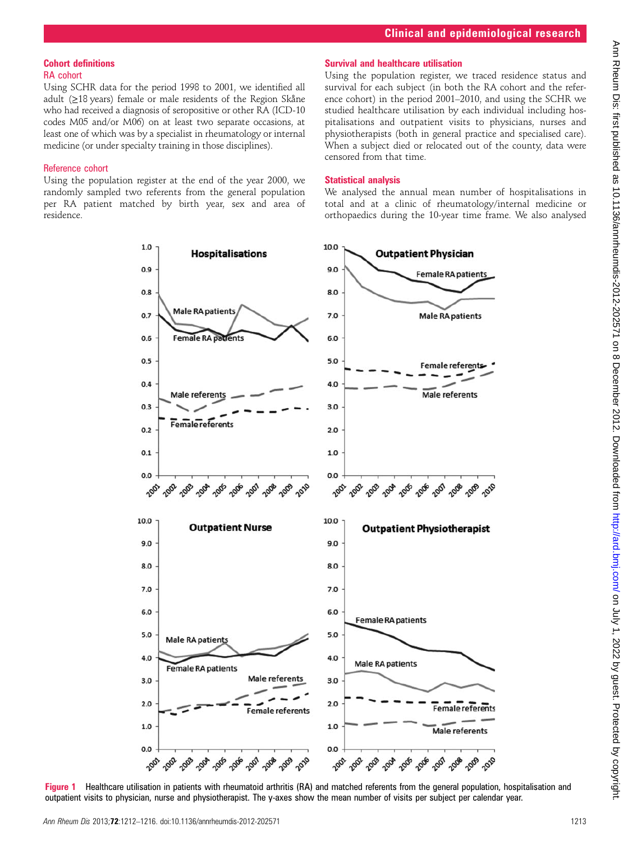# Cohort definitions RA cohort

Using SCHR data for the period 1998 to 2001, we identified all adult (≥18 years) female or male residents of the Region Skåne who had received a diagnosis of seropositive or other RA (ICD-10 codes M05 and/or M06) on at least two separate occasions, at least one of which was by a specialist in rheumatology or internal medicine (or under specialty training in those disciplines).

# Reference cohort

Using the population register at the end of the year 2000, we randomly sampled two referents from the general population per RA patient matched by birth year, sex and area of residence.

# Survival and healthcare utilisation

Using the population register, we traced residence status and survival for each subject (in both the RA cohort and the reference cohort) in the period 2001–2010, and using the SCHR we studied healthcare utilisation by each individual including hospitalisations and outpatient visits to physicians, nurses and physiotherapists (both in general practice and specialised care). When a subject died or relocated out of the county, data were censored from that time.

# Statistical analysis

We analysed the annual mean number of hospitalisations in total and at a clinic of rheumatology/internal medicine or orthopaedics during the 10-year time frame. We also analysed



Figure 1 Healthcare utilisation in patients with rheumatoid arthritis (RA) and matched referents from the general population, hospitalisation and outpatient visits to physician, nurse and physiotherapist. The y-axes show the mean number of visits per subject per calendar year.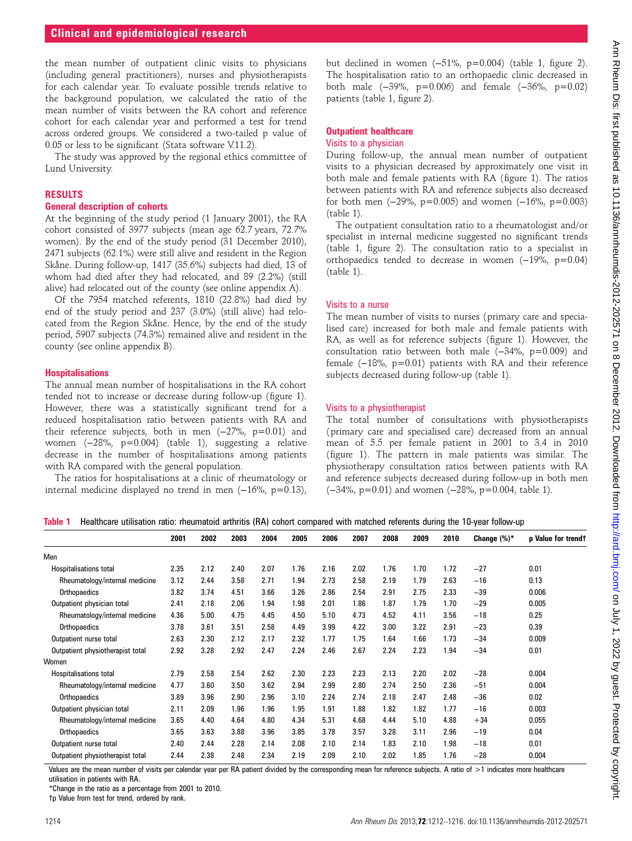the mean number of outpatient clinic visits to physicians (including general practitioners), nurses and physiotherapists for each calendar year. To evaluate possible trends relative to the background population, we calculated the ratio of the mean number of visits between the RA cohort and reference cohort for each calendar year and performed a test for trend across ordered groups. We considered a two-tailed p value of 0.05 or less to be significant (Stata software V.11.2).

The study was approved by the regional ethics committee of Lund University.

#### RESULTS

#### General description of cohorts

At the beginning of the study period (1 January 2001), the RA cohort consisted of 3977 subjects (mean age 62.7 years, 72.7% women). By the end of the study period (31 December 2010), 2471 subjects (62.1%) were still alive and resident in the Region Skåne. During follow-up, 1417 (35.6%) subjects had died, 13 of whom had died after they had relocated, and 89 (2.2%) (still alive) had relocated out of the county (see online appendix A).

Of the 7954 matched referents, 1810 (22.8%) had died by end of the study period and 237 (3.0%) (still alive) had relocated from the Region Skåne. Hence, by the end of the study period, 5907 subjects (74.3%) remained alive and resident in the county (see online appendix B).

#### **Hospitalisations**

The annual mean number of hospitalisations in the RA cohort tended not to increase or decrease during follow-up (figure 1). However, there was a statistically significant trend for a reduced hospitalisation ratio between patients with RA and their reference subjects, both in men  $(-27\% , p=0.01)$  and women (−28%, p=0.004) (table 1), suggesting a relative decrease in the number of hospitalisations among patients with RA compared with the general population.

The ratios for hospitalisations at a clinic of rheumatology or internal medicine displayed no trend in men (−16%, p=0.13), but declined in women (−51%, p=0.004) (table 1, figure 2). The hospitalisation ratio to an orthopaedic clinic decreased in both male (−39%, p=0.006) and female (−36%, p=0.02) patients (table 1, figure 2).

#### Outpatient healthcare Visits to a physician

During follow-up, the annual mean number of outpatient visits to a physician decreased by approximately one visit in both male and female patients with RA (figure 1). The ratios between patients with RA and reference subjects also decreased for both men  $(-29\% \, \text{p} = 0.005)$  and women  $(-16\% \, \text{p} = 0.003)$ (table 1).

The outpatient consultation ratio to a rheumatologist and/or specialist in internal medicine suggested no significant trends (table 1, figure 2). The consultation ratio to a specialist in orthopaedics tended to decrease in women (−19%, p=0.04) (table 1).

#### Visits to a nurse

The mean number of visits to nurses (primary care and specialised care) increased for both male and female patients with RA, as well as for reference subjects (figure 1). However, the consultation ratio between both male (−34%, p=0.009) and female (−18%, p=0.01) patients with RA and their reference subjects decreased during follow-up (table 1).

#### Visits to a physiotherapist

The total number of consultations with physiotherapists (primary care and specialised care) decreased from an annual mean of 5.5 per female patient in 2001 to 3.4 in 2010 (figure 1). The pattern in male patients was similar. The physiotherapy consultation ratios between patients with RA and reference subjects decreased during follow-up in both men (−34%, p=0.01) and women (−28%, p=0.004, table 1).

|  | Table 1 Healthcare utilisation ratio: rheumatoid arthritis (RA) cohort compared with matched referents during the 10-year follow-up |  |  |  |  |  |  |  |  |  |  |  |  |  |  |  |
|--|-------------------------------------------------------------------------------------------------------------------------------------|--|--|--|--|--|--|--|--|--|--|--|--|--|--|--|
|--|-------------------------------------------------------------------------------------------------------------------------------------|--|--|--|--|--|--|--|--|--|--|--|--|--|--|--|

|                                                                                                                                                                                                                                | 2001               | 2002 | 2003 | 2004                                  | 2005 | 2006 | 2007                     | 2008            | 2009 | 2010 | Change $(\%)^*$                                                                                                                                                                                                                   | p Value for trendt |
|--------------------------------------------------------------------------------------------------------------------------------------------------------------------------------------------------------------------------------|--------------------|------|------|---------------------------------------|------|------|--------------------------|-----------------|------|------|-----------------------------------------------------------------------------------------------------------------------------------------------------------------------------------------------------------------------------------|--------------------|
| Men                                                                                                                                                                                                                            |                    |      |      |                                       |      |      |                          |                 |      |      |                                                                                                                                                                                                                                   |                    |
| <b>Hospitalisations total</b>                                                                                                                                                                                                  | 2.35               | 2.12 | 2.40 | 2.07                                  | 1.76 | 2.16 | 2.02                     | 1.76            | 1.70 | 1.72 | $-27$                                                                                                                                                                                                                             | 0.01               |
| Rheumatology/internal medicine                                                                                                                                                                                                 | 3.12               | 2.44 | 3.58 | 2.71                                  | 1.94 | 2.73 | 2.58                     | 2.19            | 1.79 | 2.63 | $-16$                                                                                                                                                                                                                             | 0.13               |
| Orthopaedics                                                                                                                                                                                                                   | 3.82               | 3.74 | 4.51 | 3.66                                  | 3.26 | 2.86 | 2.54                     | 2.91            | 2.75 | 2.33 | $-39$                                                                                                                                                                                                                             | 0.006              |
| Outpatient physician total                                                                                                                                                                                                     | 2.41               | 2.18 | 2.06 | 1.94                                  | 1.98 | 2.01 | 1.86                     | 1.87            | 1.79 | 1.70 | $-29$                                                                                                                                                                                                                             | 0.005              |
| Rheumatology/internal medicine                                                                                                                                                                                                 | 4.36               | 5.00 | 4.75 | 4.45                                  | 4.50 | 5.10 | 4.73                     | 4.52            | 4.11 | 3.56 | $-18$                                                                                                                                                                                                                             | 0.25               |
| Orthopaedics                                                                                                                                                                                                                   | 3.78               | 3.61 | 3.51 | 2.58                                  | 4.49 | 3.99 | 4.22                     | 3.00            | 3.22 | 2.91 | $-23$                                                                                                                                                                                                                             | 0.39               |
| Outpatient nurse total                                                                                                                                                                                                         | 2.63               | 2.30 | 2.12 | 2.17                                  | 2.32 | 1.77 | 1.75                     | 1.64            | 1.66 | 1.73 | $-34$                                                                                                                                                                                                                             | 0.009              |
| Outpatient physiotherapist total                                                                                                                                                                                               | 2.92               | 3.28 | 2.92 | 2.47                                  | 2.24 | 2.46 | 2.67                     | 2.24            | 2.23 | 1.94 | $-34$                                                                                                                                                                                                                             | 0.01               |
| Women                                                                                                                                                                                                                          |                    |      |      |                                       |      |      |                          |                 |      |      |                                                                                                                                                                                                                                   |                    |
| Hospitalisations total                                                                                                                                                                                                         | 2.79               | 2.58 | 2.54 | 2.62                                  | 2.30 | 2.23 | 2.23                     | 2.13            | 2.20 | 2.02 | $-28$                                                                                                                                                                                                                             | 0.004              |
| Rheumatology/internal medicine                                                                                                                                                                                                 | 4.77               | 3.60 | 3.50 | 3.62                                  | 2.94 | 2.99 | 2.80                     | 2.74            | 2.50 | 2.36 | $-51$                                                                                                                                                                                                                             | 0.004              |
| Orthopaedics                                                                                                                                                                                                                   | 3.89               | 3.96 | 2.90 | 2.96                                  | 3.10 | 2.24 | 2.74                     | 2.18            | 2.47 | 2.48 | $-36$                                                                                                                                                                                                                             | 0.02               |
| Outpatient physician total                                                                                                                                                                                                     | 2.11               | 2.09 | 1.96 | 1.96                                  | 1.95 | 1.91 | 1.88                     | 1.82            | 1.82 | 1.77 | $-16$                                                                                                                                                                                                                             | 0.003              |
| Rheumatology/internal medicine                                                                                                                                                                                                 | 3.65               | 4.40 | 4.64 | 4.80                                  | 4.34 | 5.31 | 4.68                     | 4.44            | 5.10 | 4.88 | $+34$                                                                                                                                                                                                                             | 0.055              |
| Orthopaedics                                                                                                                                                                                                                   | 3.65               | 3.63 | 3.88 | 3.96                                  | 3.85 | 3.78 | 3.57                     | 3.28            | 3.11 | 2.96 | $-19$                                                                                                                                                                                                                             | 0.04               |
| Outpatient nurse total                                                                                                                                                                                                         | 2.40               | 2.44 | 2.28 | 2.14                                  | 2.08 | 2.10 | 2.14                     | 1.83            | 2.10 | 1.98 | $-18$                                                                                                                                                                                                                             | 0.01               |
| Outpatient physiotherapist total                                                                                                                                                                                               | 2.44               | 2.38 | 2.48 | 2.34                                  | 2.19 | 2.09 | 2.10                     | 2.02            | 1.85 | 1.76 | $-28$                                                                                                                                                                                                                             | 0.004              |
| Material and the contract contract of the contract of the state of the state of the state of the state of the state of the state of the state of the state of the state of the state of the state of the state of the state of | والمتورد والمرابين |      |      | <b>DA</b> and consult to be the other |      |      | $\mathbf{A}^{\bullet}$ . | and face and an |      |      | $\mathbf{A}$ . The contract of the state of the state of the state of the state of the state of the state of the state of the state of the state of the state of the state of the state of the state of the state of the state of | the controller     |

Values are the mean number of visits per calendar year per RA patient divided by the corresponding mean for reference subjects. A ratio of >1 indicates more healthcare utilisation in patients with RA.

\*Change in the ratio as a percentage from 2001 to 2010.

†p Value from test for trend, ordered by rank.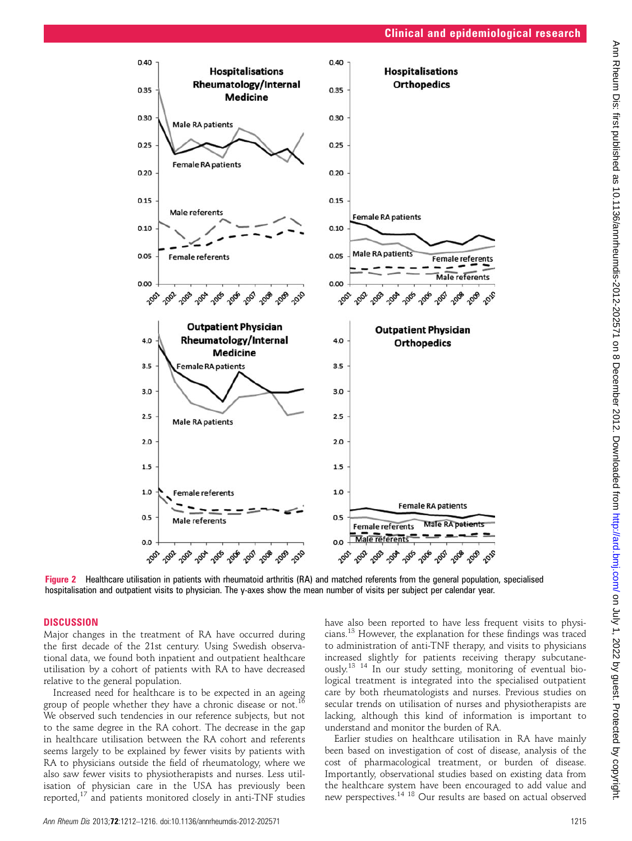

Figure 2 Healthcare utilisation in patients with rheumatoid arthritis (RA) and matched referents from the general population, specialised hospitalisation and outpatient visits to physician. The y-axes show the mean number of visits per subject per calendar year.

#### **DISCUSSION**

Major changes in the treatment of RA have occurred during the first decade of the 21st century. Using Swedish observational data, we found both inpatient and outpatient healthcare utilisation by a cohort of patients with RA to have decreased relative to the general population.

Increased need for healthcare is to be expected in an ageing group of people whether they have a chronic disease or not.<sup>16</sup> We observed such tendencies in our reference subjects, but not to the same degree in the RA cohort. The decrease in the gap in healthcare utilisation between the RA cohort and referents seems largely to be explained by fewer visits by patients with RA to physicians outside the field of rheumatology, where we also saw fewer visits to physiotherapists and nurses. Less utilisation of physician care in the USA has previously been reported, $17$  and patients monitored closely in anti-TNF studies have also been reported to have less frequent visits to physicians.<sup>13</sup> However, the explanation for these findings was traced to administration of anti-TNF therapy, and visits to physicians increased slightly for patients receiving therapy subcutaneously.13 14 In our study setting, monitoring of eventual biological treatment is integrated into the specialised outpatient care by both rheumatologists and nurses. Previous studies on secular trends on utilisation of nurses and physiotherapists are lacking, although this kind of information is important to understand and monitor the burden of RA.

Earlier studies on healthcare utilisation in RA have mainly been based on investigation of cost of disease, analysis of the cost of pharmacological treatment, or burden of disease. Importantly, observational studies based on existing data from the healthcare system have been encouraged to add value and new perspectives.14 18 Our results are based on actual observed